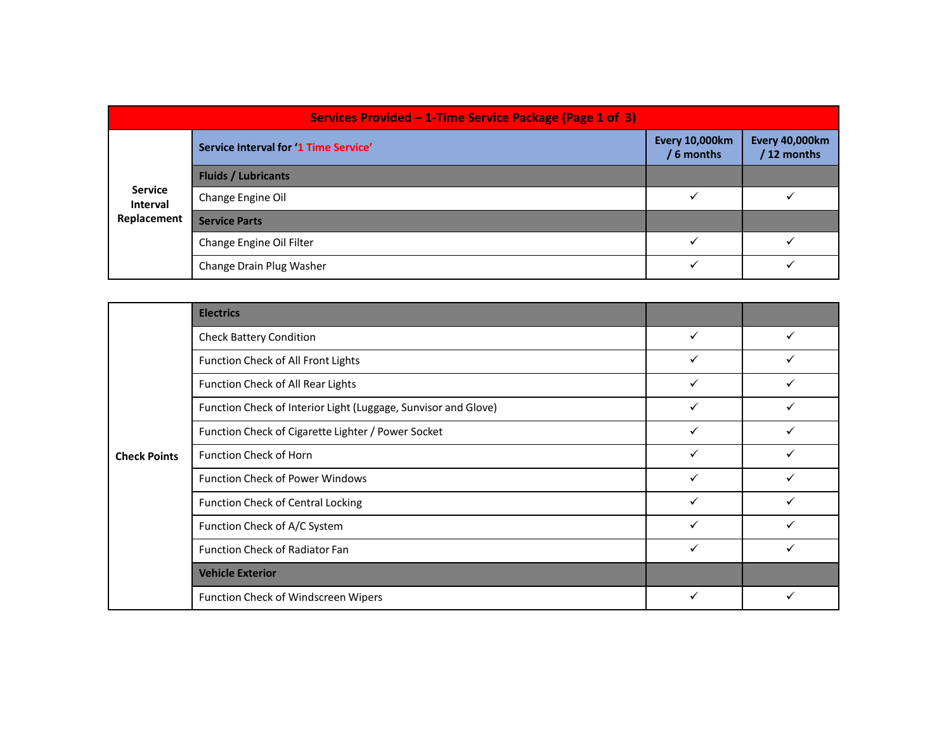|                            | Services Provided - 1-Time Service Package (Page 1 of 3)       |                                     |                               |
|----------------------------|----------------------------------------------------------------|-------------------------------------|-------------------------------|
|                            | Service Interval for '1 Time Service'                          | <b>Every 10,000km</b><br>/ 6 months | Every 40,000km<br>/ 12 months |
|                            | <b>Fluids / Lubricants</b>                                     |                                     |                               |
| <b>Service</b><br>Interval | Change Engine Oil                                              | $\checkmark$                        | $\checkmark$                  |
| Replacement                | <b>Service Parts</b>                                           |                                     |                               |
|                            | Change Engine Oil Filter                                       | $\checkmark$                        | $\checkmark$                  |
|                            | Change Drain Plug Washer                                       | $\checkmark$                        | $\checkmark$                  |
|                            |                                                                |                                     |                               |
|                            | <b>Electrics</b>                                               |                                     |                               |
|                            | <b>Check Battery Condition</b>                                 | $\checkmark$                        | $\checkmark$                  |
|                            |                                                                |                                     | $\checkmark$                  |
|                            | Function Check of All Front Lights                             | $\checkmark$                        |                               |
|                            | Function Check of All Rear Lights                              | $\checkmark$                        | $\checkmark$                  |
|                            | Function Check of Interior Light (Luggage, Sunvisor and Glove) | $\checkmark$                        | $\checkmark$                  |
|                            | Function Check of Cigarette Lighter / Power Socket             | $\checkmark$                        | $\checkmark$                  |

|                                           | Services Provided - 1-Time Service Package (Page 1 of 3)       |                                     |                                      |
|-------------------------------------------|----------------------------------------------------------------|-------------------------------------|--------------------------------------|
| <b>Service</b><br>Interval<br>Replacement | <b>Service Interval for '1 Time Service'</b>                   | <b>Every 10,000km</b><br>/ 6 months | <b>Every 40,000km</b><br>/ 12 months |
|                                           | <b>Fluids / Lubricants</b>                                     |                                     |                                      |
|                                           | Change Engine Oil                                              | $\checkmark$                        | $\checkmark$                         |
|                                           | <b>Service Parts</b>                                           |                                     |                                      |
|                                           | Change Engine Oil Filter                                       | $\checkmark$                        | $\checkmark$                         |
|                                           | Change Drain Plug Washer                                       | $\checkmark$                        | $\checkmark$                         |
|                                           |                                                                |                                     |                                      |
| <b>Check Points</b>                       | <b>Electrics</b>                                               |                                     |                                      |
|                                           | <b>Check Battery Condition</b>                                 | $\checkmark$                        | $\checkmark$                         |
|                                           | Function Check of All Front Lights                             | $\checkmark$                        | $\checkmark$                         |
|                                           | Function Check of All Rear Lights                              | $\checkmark$                        | $\checkmark$                         |
|                                           | Function Check of Interior Light (Luggage, Sunvisor and Glove) | $\checkmark$                        | $\checkmark$                         |
|                                           | Function Check of Cigarette Lighter / Power Socket             | $\checkmark$                        | $\checkmark$                         |
|                                           | Function Check of Horn                                         | $\checkmark$                        | $\checkmark$                         |
|                                           | Function Check of Power Windows                                | $\checkmark$                        | $\checkmark$                         |
|                                           | <b>Function Check of Central Locking</b>                       | $\checkmark$                        | $\checkmark$                         |
|                                           | Function Check of A/C System                                   | $\checkmark$                        | $\checkmark$                         |
|                                           | Function Check of Radiator Fan                                 | $\checkmark$                        | $\checkmark$                         |
|                                           | <b>Vehicle Exterior</b>                                        |                                     |                                      |
|                                           | Function Check of Windscreen Wipers                            | $\checkmark$                        | $\checkmark$                         |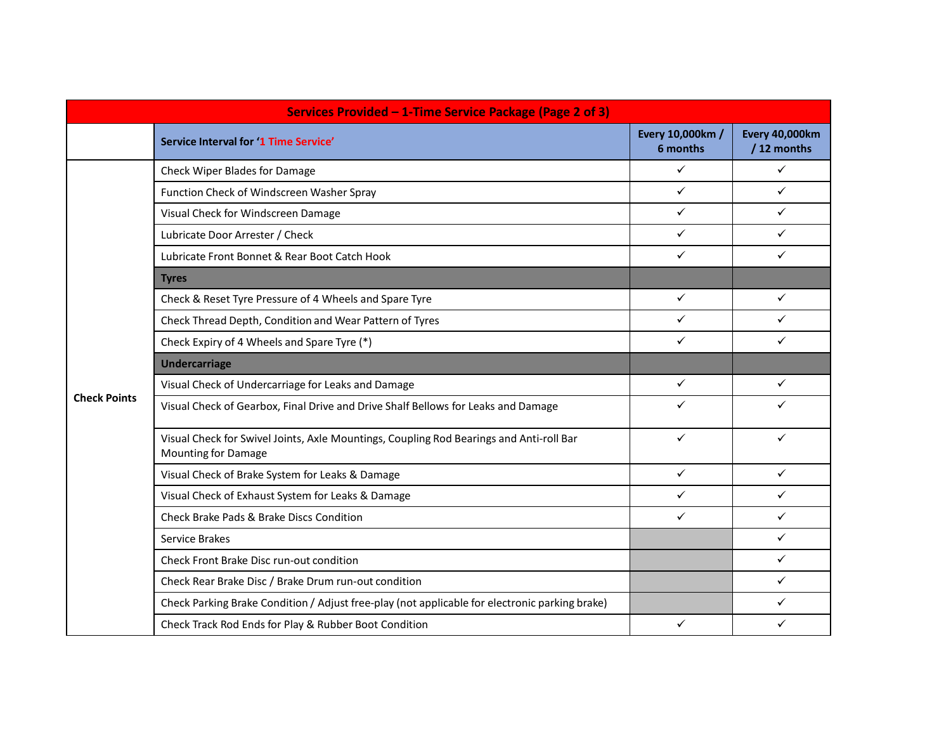|                     | Services Provided - 1-Time Service Package (Page 2 of 3)                                                              |                              |                                      |
|---------------------|-----------------------------------------------------------------------------------------------------------------------|------------------------------|--------------------------------------|
|                     | Service Interval for '1 Time Service'                                                                                 | Every 10,000km /<br>6 months | <b>Every 40,000km</b><br>/ 12 months |
|                     | Check Wiper Blades for Damage                                                                                         | $\checkmark$                 | $\checkmark$                         |
|                     | Function Check of Windscreen Washer Spray                                                                             | $\checkmark$                 | $\checkmark$                         |
|                     | Visual Check for Windscreen Damage                                                                                    | $\checkmark$                 | $\checkmark$                         |
|                     | Lubricate Door Arrester / Check                                                                                       | $\checkmark$                 | $\checkmark$                         |
|                     | Lubricate Front Bonnet & Rear Boot Catch Hook                                                                         | $\checkmark$                 | $\checkmark$                         |
|                     | <b>Tyres</b>                                                                                                          |                              |                                      |
|                     | Check & Reset Tyre Pressure of 4 Wheels and Spare Tyre                                                                | $\checkmark$                 | $\checkmark$                         |
|                     | Check Thread Depth, Condition and Wear Pattern of Tyres                                                               | $\checkmark$                 | $\checkmark$                         |
|                     | Check Expiry of 4 Wheels and Spare Tyre (*)                                                                           | $\checkmark$                 | $\checkmark$                         |
|                     | <b>Undercarriage</b>                                                                                                  |                              |                                      |
|                     | Visual Check of Undercarriage for Leaks and Damage                                                                    | $\checkmark$                 | $\checkmark$                         |
| <b>Check Points</b> | Visual Check of Gearbox, Final Drive and Drive Shalf Bellows for Leaks and Damage                                     | $\checkmark$                 | $\checkmark$                         |
|                     | Visual Check for Swivel Joints, Axle Mountings, Coupling Rod Bearings and Anti-roll Bar<br><b>Mounting for Damage</b> | $\checkmark$                 | $\checkmark$                         |
|                     | Visual Check of Brake System for Leaks & Damage                                                                       | $\checkmark$                 | $\checkmark$                         |
|                     | Visual Check of Exhaust System for Leaks & Damage                                                                     | $\checkmark$                 | $\checkmark$                         |
|                     | Check Brake Pads & Brake Discs Condition                                                                              | $\checkmark$                 | $\checkmark$                         |
|                     | Service Brakes                                                                                                        |                              | $\checkmark$                         |
|                     | Check Front Brake Disc run-out condition                                                                              |                              | $\checkmark$                         |
|                     | Check Rear Brake Disc / Brake Drum run-out condition                                                                  |                              | $\checkmark$                         |
|                     | Check Parking Brake Condition / Adjust free-play (not applicable for electronic parking brake)                        |                              | $\checkmark$                         |
|                     | Check Track Rod Ends for Play & Rubber Boot Condition                                                                 | $\checkmark$                 | $\checkmark$                         |